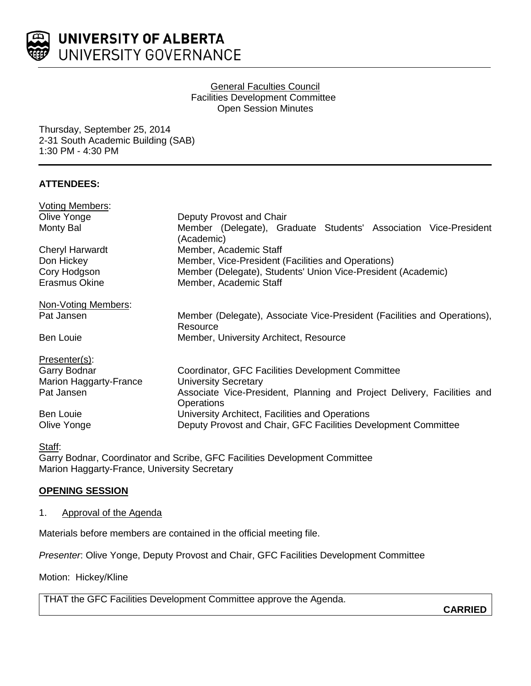

## General Faculties Council Facilities Development Committee Open Session Minutes

Thursday, September 25, 2014 2-31 South Academic Building (SAB) 1:30 PM - 4:30 PM

# **ATTENDEES:**

| <b>Voting Members:</b> |                                                                                       |
|------------------------|---------------------------------------------------------------------------------------|
| Olive Yonge            | Deputy Provost and Chair                                                              |
| Monty Bal              | Member (Delegate), Graduate Students' Association Vice-President<br>(Academic)        |
| <b>Cheryl Harwardt</b> | Member, Academic Staff                                                                |
| Don Hickey             | Member, Vice-President (Facilities and Operations)                                    |
| Cory Hodgson           | Member (Delegate), Students' Union Vice-President (Academic)                          |
| <b>Erasmus Okine</b>   | Member, Academic Staff                                                                |
| Non-Voting Members:    |                                                                                       |
| Pat Jansen             | Member (Delegate), Associate Vice-President (Facilities and Operations),<br>Resource  |
| Ben Louie              | Member, University Architect, Resource                                                |
| Presenter(s):          |                                                                                       |
| Garry Bodnar           | Coordinator, GFC Facilities Development Committee                                     |
| Marion Haggarty-France | <b>University Secretary</b>                                                           |
| Pat Jansen             | Associate Vice-President, Planning and Project Delivery, Facilities and<br>Operations |
| <b>Ben Louie</b>       | University Architect, Facilities and Operations                                       |
| Olive Yonge            | Deputy Provost and Chair, GFC Facilities Development Committee                        |

#### Staff:

Garry Bodnar, Coordinator and Scribe, GFC Facilities Development Committee Marion Haggarty-France, University Secretary

# **OPENING SESSION**

1. Approval of the Agenda

Materials before members are contained in the official meeting file.

*Presenter*: Olive Yonge, Deputy Provost and Chair, GFC Facilities Development Committee

Motion: Hickey/Kline

THAT the GFC Facilities Development Committee approve the Agenda.

**CARRIED**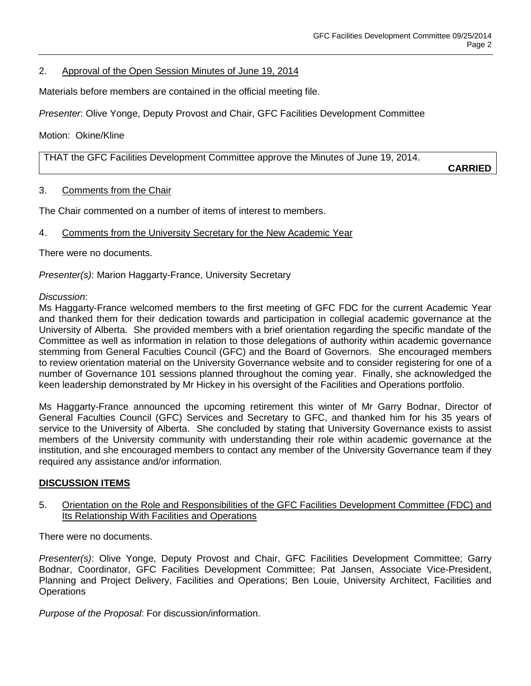## 2. Approval of the Open Session Minutes of June 19, 2014

Materials before members are contained in the official meeting file.

*Presenter*: Olive Yonge, Deputy Provost and Chair, GFC Facilities Development Committee

Motion: Okine/Kline

THAT the GFC Facilities Development Committee approve the Minutes of June 19, 2014.

**CARRIED**

## 3. Comments from the Chair

The Chair commented on a number of items of interest to members.

## 4. Comments from the University Secretary for the New Academic Year

There were no documents.

*Presenter(s)*: Marion Haggarty-France, University Secretary

#### *Discussion*:

Ms Haggarty-France welcomed members to the first meeting of GFC FDC for the current Academic Year and thanked them for their dedication towards and participation in collegial academic governance at the University of Alberta. She provided members with a brief orientation regarding the specific mandate of the Committee as well as information in relation to those delegations of authority within academic governance stemming from General Faculties Council (GFC) and the Board of Governors. She encouraged members to review orientation material on the University Governance website and to consider registering for one of a number of Governance 101 sessions planned throughout the coming year. Finally, she acknowledged the keen leadership demonstrated by Mr Hickey in his oversight of the Facilities and Operations portfolio.

Ms Haggarty-France announced the upcoming retirement this winter of Mr Garry Bodnar, Director of General Faculties Council (GFC) Services and Secretary to GFC, and thanked him for his 35 years of service to the University of Alberta. She concluded by stating that University Governance exists to assist members of the University community with understanding their role within academic governance at the institution, and she encouraged members to contact any member of the University Governance team if they required any assistance and/or information.

#### **DISCUSSION ITEMS**

## 5. Orientation on the Role and Responsibilities of the GFC Facilities Development Committee (FDC) and Its Relationship With Facilities and Operations

There were no documents.

*Presenter(s)*: Olive Yonge, Deputy Provost and Chair, GFC Facilities Development Committee; Garry Bodnar, Coordinator, GFC Facilities Development Committee; Pat Jansen, Associate Vice-President, Planning and Project Delivery, Facilities and Operations; Ben Louie, University Architect, Facilities and **Operations** 

*Purpose of the Proposal*: For discussion/information.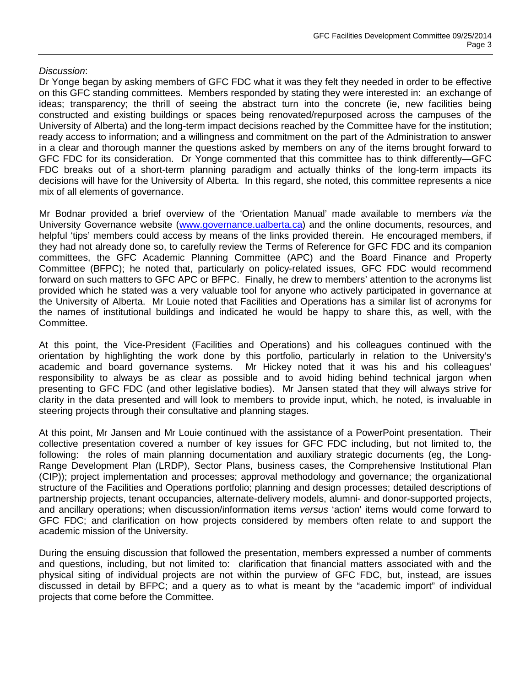## *Discussion*:

Dr Yonge began by asking members of GFC FDC what it was they felt they needed in order to be effective on this GFC standing committees. Members responded by stating they were interested in: an exchange of ideas; transparency; the thrill of seeing the abstract turn into the concrete (ie, new facilities being constructed and existing buildings or spaces being renovated/repurposed across the campuses of the University of Alberta) and the long-term impact decisions reached by the Committee have for the institution; ready access to information; and a willingness and commitment on the part of the Administration to answer in a clear and thorough manner the questions asked by members on any of the items brought forward to GFC FDC for its consideration. Dr Yonge commented that this committee has to think differently—GFC FDC breaks out of a short-term planning paradigm and actually thinks of the long-term impacts its decisions will have for the University of Alberta. In this regard, she noted, this committee represents a nice mix of all elements of governance.

Mr Bodnar provided a brief overview of the 'Orientation Manual' made available to members *via* the University Governance website [\(www.governance.ualberta.ca\)](http://www.governance.ualberta.ca/) and the online documents, resources, and helpful 'tips' members could access by means of the links provided therein. He encouraged members, if they had not already done so, to carefully review the Terms of Reference for GFC FDC and its companion committees, the GFC Academic Planning Committee (APC) and the Board Finance and Property Committee (BFPC); he noted that, particularly on policy-related issues, GFC FDC would recommend forward on such matters to GFC APC or BFPC. Finally, he drew to members' attention to the acronyms list provided which he stated was a very valuable tool for anyone who actively participated in governance at the University of Alberta. Mr Louie noted that Facilities and Operations has a similar list of acronyms for the names of institutional buildings and indicated he would be happy to share this, as well, with the Committee.

At this point, the Vice-President (Facilities and Operations) and his colleagues continued with the orientation by highlighting the work done by this portfolio, particularly in relation to the University's academic and board governance systems. Mr Hickey noted that it was his and his colleagues' responsibility to always be as clear as possible and to avoid hiding behind technical jargon when presenting to GFC FDC (and other legislative bodies). Mr Jansen stated that they will always strive for clarity in the data presented and will look to members to provide input, which, he noted, is invaluable in steering projects through their consultative and planning stages.

At this point, Mr Jansen and Mr Louie continued with the assistance of a PowerPoint presentation. Their collective presentation covered a number of key issues for GFC FDC including, but not limited to, the following: the roles of main planning documentation and auxiliary strategic documents (eg, the Long-Range Development Plan (LRDP), Sector Plans, business cases, the Comprehensive Institutional Plan (CIP)); project implementation and processes; approval methodology and governance; the organizational structure of the Facilities and Operations portfolio; planning and design processes; detailed descriptions of partnership projects, tenant occupancies, alternate-delivery models, alumni- and donor-supported projects, and ancillary operations; when discussion/information items *versus* 'action' items would come forward to GFC FDC; and clarification on how projects considered by members often relate to and support the academic mission of the University.

During the ensuing discussion that followed the presentation, members expressed a number of comments and questions, including, but not limited to: clarification that financial matters associated with and the physical siting of individual projects are not within the purview of GFC FDC, but, instead, are issues discussed in detail by BFPC; and a query as to what is meant by the "academic import" of individual projects that come before the Committee.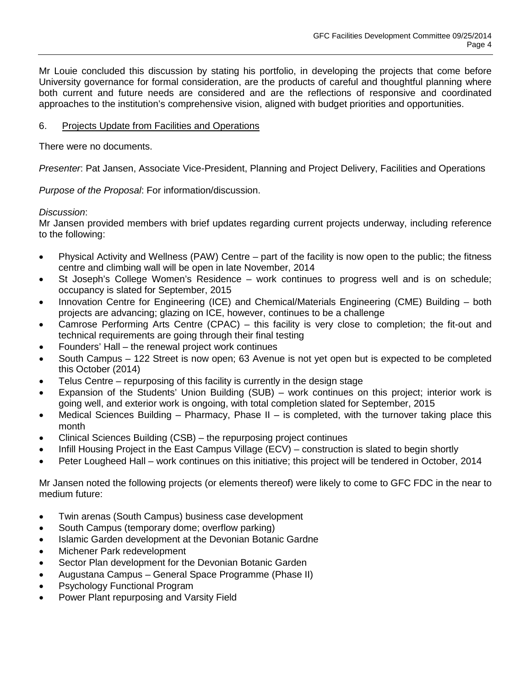Mr Louie concluded this discussion by stating his portfolio, in developing the projects that come before University governance for formal consideration, are the products of careful and thoughtful planning where both current and future needs are considered and are the reflections of responsive and coordinated approaches to the institution's comprehensive vision, aligned with budget priorities and opportunities.

## 6. Projects Update from Facilities and Operations

There were no documents.

*Presenter*: Pat Jansen, Associate Vice-President, Planning and Project Delivery, Facilities and Operations

*Purpose of the Proposal*: For information/discussion.

## *Discussion*:

Mr Jansen provided members with brief updates regarding current projects underway, including reference to the following:

- Physical Activity and Wellness (PAW) Centre part of the facility is now open to the public; the fitness centre and climbing wall will be open in late November, 2014
- St Joseph's College Women's Residence work continues to progress well and is on schedule; occupancy is slated for September, 2015
- Innovation Centre for Engineering (ICE) and Chemical/Materials Engineering (CME) Building both projects are advancing; glazing on ICE, however, continues to be a challenge
- Camrose Performing Arts Centre (CPAC) this facility is very close to completion; the fit-out and technical requirements are going through their final testing
- Founders' Hall the renewal project work continues
- South Campus 122 Street is now open; 63 Avenue is not yet open but is expected to be completed this October (2014)
- Telus Centre repurposing of this facility is currently in the design stage
- Expansion of the Students' Union Building (SUB) work continues on this project; interior work is going well, and exterior work is ongoing, with total completion slated for September, 2015
- Medical Sciences Building Pharmacy, Phase II is completed, with the turnover taking place this month
- Clinical Sciences Building (CSB) the repurposing project continues
- Infill Housing Project in the East Campus Village (ECV) construction is slated to begin shortly
- Peter Lougheed Hall work continues on this initiative; this project will be tendered in October, 2014

Mr Jansen noted the following projects (or elements thereof) were likely to come to GFC FDC in the near to medium future:

- Twin arenas (South Campus) business case development
- South Campus (temporary dome; overflow parking)
- Islamic Garden development at the Devonian Botanic Gardne
- Michener Park redevelopment
- Sector Plan development for the Devonian Botanic Garden
- Augustana Campus General Space Programme (Phase II)
- Psychology Functional Program
- Power Plant repurposing and Varsity Field